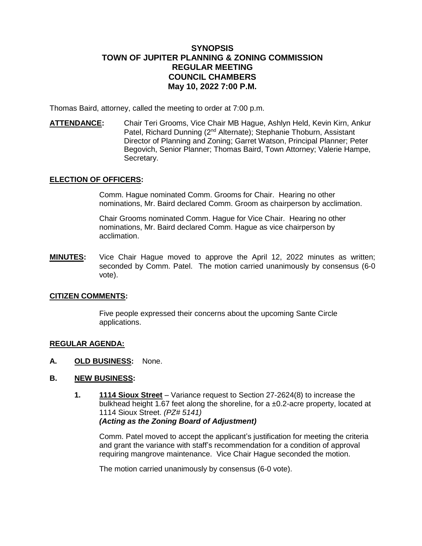# **SYNOPSIS TOWN OF JUPITER PLANNING & ZONING COMMISSION REGULAR MEETING COUNCIL CHAMBERS May 10, 2022 7:00 P.M.**

Thomas Baird, attorney, called the meeting to order at 7:00 p.m.

**ATTENDANCE:** Chair Teri Grooms, Vice Chair MB Hague, Ashlyn Held, Kevin Kirn, Ankur Patel, Richard Dunning (2<sup>nd</sup> Alternate); Stephanie Thoburn, Assistant Director of Planning and Zoning; Garret Watson, Principal Planner; Peter Begovich, Senior Planner; Thomas Baird, Town Attorney; Valerie Hampe, Secretary.

# **ELECTION OF OFFICERS:**

Comm. Hague nominated Comm. Grooms for Chair. Hearing no other nominations, Mr. Baird declared Comm. Groom as chairperson by acclimation.

Chair Grooms nominated Comm. Hague for Vice Chair. Hearing no other nominations, Mr. Baird declared Comm. Hague as vice chairperson by acclimation.

**MINUTES:** Vice Chair Hague moved to approve the April 12, 2022 minutes as written; seconded by Comm. Patel. The motion carried unanimously by consensus (6-0 vote).

## **CITIZEN COMMENTS:**

Five people expressed their concerns about the upcoming Sante Circle applications.

### **REGULAR AGENDA:**

**A. OLD BUSINESS:** None.

# **B. NEW BUSINESS:**

**1. 1114 Sioux Street** – Variance request to Section 27-2624(8) to increase the bulkhead height 1.67 feet along the shoreline, for a ±0.2-acre property, located at 1114 Sioux Street. *(PZ# 5141) (Acting as the Zoning Board of Adjustment)* 

Comm. Patel moved to accept the applicant's justification for meeting the criteria and grant the variance with staff's recommendation for a condition of approval requiring mangrove maintenance. Vice Chair Hague seconded the motion.

The motion carried unanimously by consensus (6-0 vote).